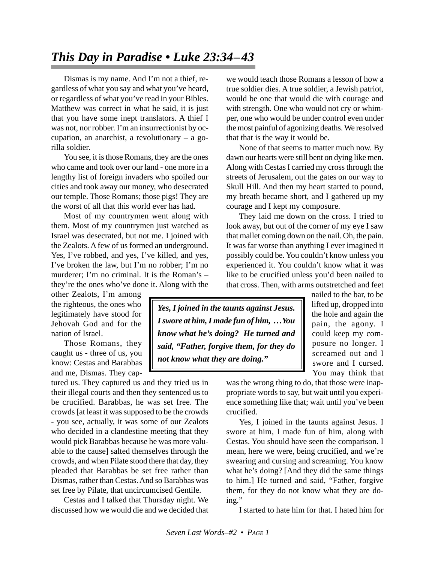## *This Day in Paradise • Luke 23:34–43*

Dismas is my name. And I'm not a thief, regardless of what you say and what you've heard, or regardless of what you've read in your Bibles. Matthew was correct in what he said, it is just that you have some inept translators. A thief I was not, nor robber. I'm an insurrectionist by occupation, an anarchist, a revolutionary – a gorilla soldier.

You see, it is those Romans, they are the ones who came and took over our land - one more in a lengthy list of foreign invaders who spoiled our cities and took away our money, who desecrated our temple. Those Romans; those pigs! They are the worst of all that this world ever has had.

Most of my countrymen went along with them. Most of my countrymen just watched as Israel was desecrated, but not me. I joined with the Zealots. A few of us formed an underground. Yes, I've robbed, and yes, I've killed, and yes, I've broken the law, but I'm no robber; I'm no murderer; I'm no criminal. It is the Roman's – they're the ones who've done it. Along with the

other Zealots, I'm among the righteous, the ones who legitimately have stood for Jehovah God and for the nation of Israel.

Those Romans, they caught us - three of us, you know: Cestas and Barabbas and me, Dismas. They cap-

tured us. They captured us and they tried us in their illegal courts and then they sentenced us to be crucified. Barabbas, he was set free. The crowds [at least it was supposed to be the crowds - you see, actually, it was some of our Zealots who decided in a clandestine meeting that they would pick Barabbas because he was more valuable to the cause] salted themselves through the crowds, and when Pilate stood there that day, they pleaded that Barabbas be set free rather than Dismas, rather than Cestas. And so Barabbas was set free by Pilate, that uncircumcised Gentile.

Cestas and I talked that Thursday night. We discussed how we would die and we decided that we would teach those Romans a lesson of how a true soldier dies. A true soldier, a Jewish patriot, would be one that would die with courage and with strength. One who would not cry or whimper, one who would be under control even under the most painful of agonizing deaths. We resolved that that is the way it would be.

None of that seems to matter much now. By dawn our hearts were still bent on dying like men. Along with Cestas I carried my cross through the streets of Jerusalem, out the gates on our way to Skull Hill. And then my heart started to pound, my breath became short, and I gathered up my courage and I kept my composure.

They laid me down on the cross. I tried to look away, but out of the corner of my eye I saw that mallet coming down on the nail. Oh, the pain. It was far worse than anything I ever imagined it possibly could be. You couldn't know unless you experienced it. You couldn't know what it was like to be crucified unless you'd been nailed to that cross. Then, with arms outstretched and feet

*Yes, I joined in the taunts against Jesus. I swore at him, I made fun of him, …You know what he's doing? He turned and said, "Father, forgive them, for they do not know what they are doing."*

nailed to the bar, to be lifted up, dropped into the hole and again the pain, the agony. I could keep my composure no longer. I screamed out and I swore and I cursed. You may think that

was the wrong thing to do, that those were inappropriate words to say, but wait until you experience something like that; wait until you've been crucified.

Yes, I joined in the taunts against Jesus. I swore at him, I made fun of him, along with Cestas. You should have seen the comparison. I mean, here we were, being crucified, and we're swearing and cursing and screaming. You know what he's doing? [And they did the same things to him.] He turned and said, "Father, forgive them, for they do not know what they are doing."

I started to hate him for that. I hated him for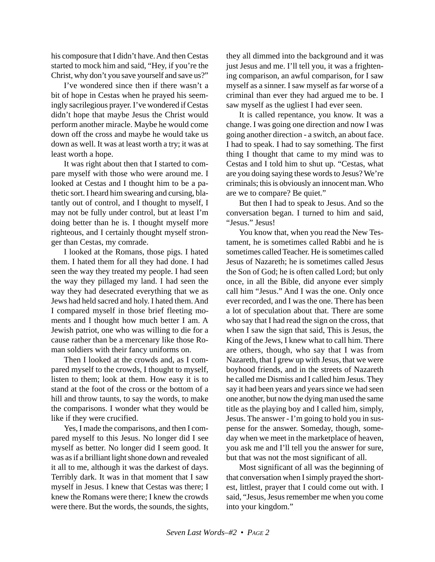his composure that I didn't have. And then Cestas started to mock him and said, "Hey, if you're the Christ, why don't you save yourself and save us?"

I've wondered since then if there wasn't a bit of hope in Cestas when he prayed his seemingly sacrilegious prayer. I've wondered if Cestas didn't hope that maybe Jesus the Christ would perform another miracle. Maybe he would come down off the cross and maybe he would take us down as well. It was at least worth a try; it was at least worth a hope.

It was right about then that I started to compare myself with those who were around me. I looked at Cestas and I thought him to be a pathetic sort. I heard him swearing and cursing, blatantly out of control, and I thought to myself, I may not be fully under control, but at least I'm doing better than he is. I thought myself more righteous, and I certainly thought myself stronger than Cestas, my comrade.

I looked at the Romans, those pigs. I hated them. I hated them for all they had done. I had seen the way they treated my people. I had seen the way they pillaged my land. I had seen the way they had desecrated everything that we as Jews had held sacred and holy. I hated them. And I compared myself in those brief fleeting moments and I thought how much better I am. A Jewish patriot, one who was willing to die for a cause rather than be a mercenary like those Roman soldiers with their fancy uniforms on.

Then I looked at the crowds and, as I compared myself to the crowds, I thought to myself, listen to them; look at them. How easy it is to stand at the foot of the cross or the bottom of a hill and throw taunts, to say the words, to make the comparisons. I wonder what they would be like if they were crucified.

Yes, I made the comparisons, and then I compared myself to this Jesus. No longer did I see myself as better. No longer did I seem good. It was as if a brilliant light shone down and revealed it all to me, although it was the darkest of days. Terribly dark. It was in that moment that I saw myself in Jesus. I knew that Cestas was there; I knew the Romans were there; I knew the crowds were there. But the words, the sounds, the sights,

they all dimmed into the background and it was just Jesus and me. I'll tell you, it was a frightening comparison, an awful comparison, for I saw myself as a sinner. I saw myself as far worse of a criminal than ever they had argued me to be. I saw myself as the ugliest I had ever seen.

It is called repentance, you know. It was a change. I was going one direction and now I was going another direction - a switch, an about face. I had to speak. I had to say something. The first thing I thought that came to my mind was to Cestas and I told him to shut up. "Cestas, what are you doing saying these words to Jesus? We're criminals; this is obviously an innocent man. Who are we to compare? Be quiet."

But then I had to speak to Jesus. And so the conversation began. I turned to him and said, "Jesus." Jesus!

You know that, when you read the New Testament, he is sometimes called Rabbi and he is sometimes called Teacher. He is sometimes called Jesus of Nazareth; he is sometimes called Jesus the Son of God; he is often called Lord; but only once, in all the Bible, did anyone ever simply call him "Jesus." And I was the one. Only once ever recorded, and I was the one. There has been a lot of speculation about that. There are some who say that I had read the sign on the cross, that when I saw the sign that said, This is Jesus, the King of the Jews, I knew what to call him. There are others, though, who say that I was from Nazareth, that I grew up with Jesus, that we were boyhood friends, and in the streets of Nazareth he called me Dismiss and I called him Jesus. They say it had been years and years since we had seen one another, but now the dying man used the same title as the playing boy and I called him, simply, Jesus. The answer - I'm going to hold you in suspense for the answer. Someday, though, someday when we meet in the marketplace of heaven, you ask me and I'll tell you the answer for sure, but that was not the most significant of all.

Most significant of all was the beginning of that conversation when I simply prayed the shortest, littlest, prayer that I could come out with. I said, "Jesus, Jesus remember me when you come into your kingdom."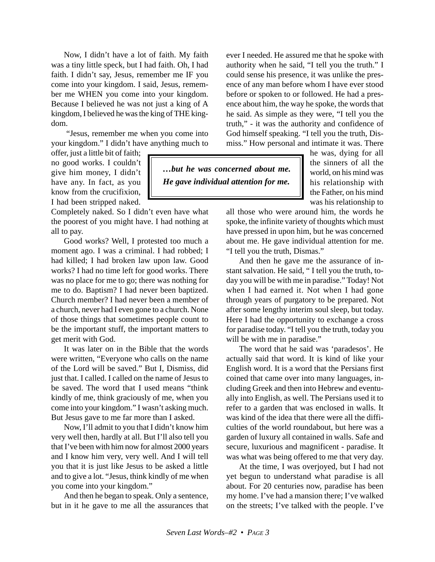Now, I didn't have a lot of faith. My faith was a tiny little speck, but I had faith. Oh, I had faith. I didn't say, Jesus, remember me IF you come into your kingdom. I said, Jesus, remember me WHEN you come into your kingdom. Because I believed he was not just a king of A kingdom, I believed he was the king of THE kingdom.

 "Jesus, remember me when you come into your kingdom." I didn't have anything much to

offer, just a little bit of faith; no good works. I couldn't give him money, I didn't have any. In fact, as you know from the crucifixion, I had been stripped naked.

Completely naked. So I didn't even have what the poorest of you might have. I had nothing at all to pay.

Good works? Well, I protested too much a moment ago. I was a criminal. I had robbed; I had killed; I had broken law upon law. Good works? I had no time left for good works. There was no place for me to go; there was nothing for me to do. Baptism? I had never been baptized. Church member? I had never been a member of a church, never had I even gone to a church. None of those things that sometimes people count to be the important stuff, the important matters to get merit with God.

It was later on in the Bible that the words were written, "Everyone who calls on the name of the Lord will be saved." But I, Dismiss, did just that. I called. I called on the name of Jesus to be saved. The word that I used means "think kindly of me, think graciously of me, when you come into your kingdom." I wasn't asking much. But Jesus gave to me far more than I asked.

Now, I'll admit to you that I didn't know him very well then, hardly at all. But I'll also tell you that I've been with him now for almost 2000 years and I know him very, very well. And I will tell you that it is just like Jesus to be asked a little and to give a lot. "Jesus, think kindly of me when you come into your kingdom."

And then he began to speak. Only a sentence, but in it he gave to me all the assurances that ever I needed. He assured me that he spoke with authority when he said, "I tell you the truth." I could sense his presence, it was unlike the presence of any man before whom I have ever stood before or spoken to or followed. He had a presence about him, the way he spoke, the words that he said. As simple as they were, "I tell you the truth," - it was the authority and confidence of God himself speaking. "I tell you the truth, Dismiss." How personal and intimate it was. There

*…but he was concerned about me. He gave individual attention for me.*

he was, dying for all the sinners of all the world, on his mind was his relationship with the Father, on his mind was his relationship to

all those who were around him, the words he spoke, the infinite variety of thoughts which must have pressed in upon him, but he was concerned about me. He gave individual attention for me. "I tell you the truth, Dismas."

And then he gave me the assurance of instant salvation. He said, " I tell you the truth, today you will be with me in paradise." Today! Not when I had earned it. Not when I had gone through years of purgatory to be prepared. Not after some lengthy interim soul sleep, but today. Here I had the opportunity to exchange a cross for paradise today. "I tell you the truth, today you will be with me in paradise."

The word that he said was 'paradesos'. He actually said that word. It is kind of like your English word. It is a word that the Persians first coined that came over into many languages, including Greek and then into Hebrew and eventually into English, as well. The Persians used it to refer to a garden that was enclosed in walls. It was kind of the idea that there were all the difficulties of the world roundabout, but here was a garden of luxury all contained in walls. Safe and secure, luxurious and magnificent - paradise. It was what was being offered to me that very day.

At the time, I was overjoyed, but I had not yet begun to understand what paradise is all about. For 20 centuries now, paradise has been my home. I've had a mansion there; I've walked on the streets; I've talked with the people. I've